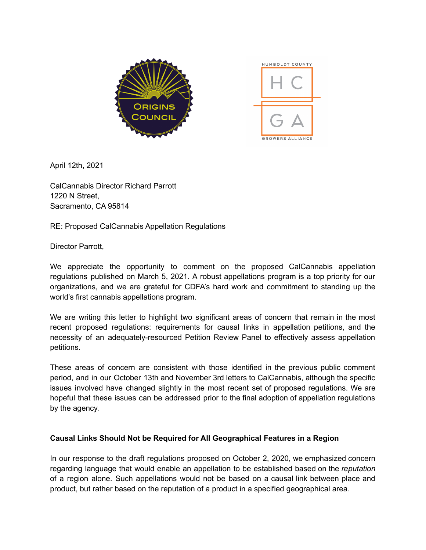

April 12th, 2021

CalCannabis Director Richard Parrott 1220 N Street, Sacramento, CA 95814

RE: Proposed CalCannabis Appellation Regulations

Director Parrott,

We appreciate the opportunity to comment on the proposed CalCannabis appellation regulations published on March 5, 2021. A robust appellations program is a top priority for our organizations, and we are grateful for CDFA's hard work and commitment to standing up the world's first cannabis appellations program.

We are writing this letter to highlight two significant areas of concern that remain in the most recent proposed regulations: requirements for causal links in appellation petitions, and the necessity of an adequately-resourced Petition Review Panel to effectively assess appellation petitions.

These areas of concern are consistent with those identified in the previous public comment period, and in our October 13th and November 3rd letters to CalCannabis, although the specific issues involved have changed slightly in the most recent set of proposed regulations. We are hopeful that these issues can be addressed prior to the final adoption of appellation regulations by the agency.

## **Causal Links Should Not be Required for All Geographical Features in a Region**

In our response to the draft regulations proposed on October 2, 2020, we emphasized concern regarding language that would enable an appellation to be established based on the *reputation* of a region alone. Such appellations would not be based on a causal link between place and product, but rather based on the reputation of a product in a specified geographical area.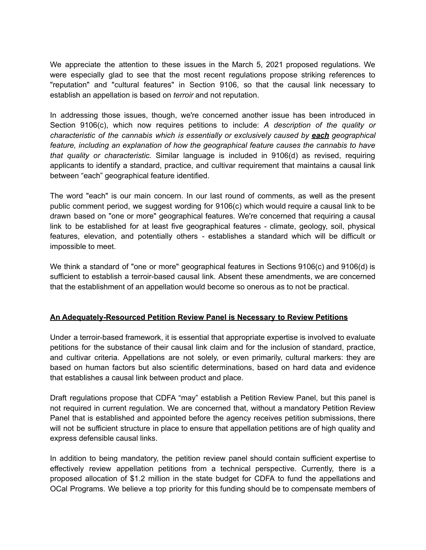We appreciate the attention to these issues in the March 5, 2021 proposed regulations. We were especially glad to see that the most recent regulations propose striking references to "reputation" and "cultural features" in Section 9106, so that the causal link necessary to establish an appellation is based on *terroir* and not reputation.

In addressing those issues, though, we're concerned another issue has been introduced in Section 9106(c), which now requires petitions to include: *A description of the quality or characteristic of the cannabis which is essentially or exclusively caused by each geographical feature, including an explanation of how the geographical feature causes the cannabis to have that quality or characteristic.* Similar language is included in 9106(d) as revised, requiring applicants to identify a standard, practice, and cultivar requirement that maintains a causal link between "each" geographical feature identified.

The word "each" is our main concern. In our last round of comments, as well as the present public comment period, we suggest wording for 9106(c) which would require a causal link to be drawn based on "one or more" geographical features. We're concerned that requiring a causal link to be established for at least five geographical features - climate, geology, soil, physical features, elevation, and potentially others - establishes a standard which will be difficult or impossible to meet.

We think a standard of "one or more" geographical features in Sections 9106(c) and 9106(d) is sufficient to establish a terroir-based causal link. Absent these amendments, we are concerned that the establishment of an appellation would become so onerous as to not be practical.

## **An Adequately-Resourced Petition Review Panel is Necessary to Review Petitions**

Under a terroir-based framework, it is essential that appropriate expertise is involved to evaluate petitions for the substance of their causal link claim and for the inclusion of standard, practice, and cultivar criteria. Appellations are not solely, or even primarily, cultural markers: they are based on human factors but also scientific determinations, based on hard data and evidence that establishes a causal link between product and place.

Draft regulations propose that CDFA "may" establish a Petition Review Panel, but this panel is not required in current regulation. We are concerned that, without a mandatory Petition Review Panel that is established and appointed before the agency receives petition submissions, there will not be sufficient structure in place to ensure that appellation petitions are of high quality and express defensible causal links.

In addition to being mandatory, the petition review panel should contain sufficient expertise to effectively review appellation petitions from a technical perspective. Currently, there is a proposed allocation of \$1.2 million in the state budget for CDFA to fund the appellations and OCal Programs. We believe a top priority for this funding should be to compensate members of